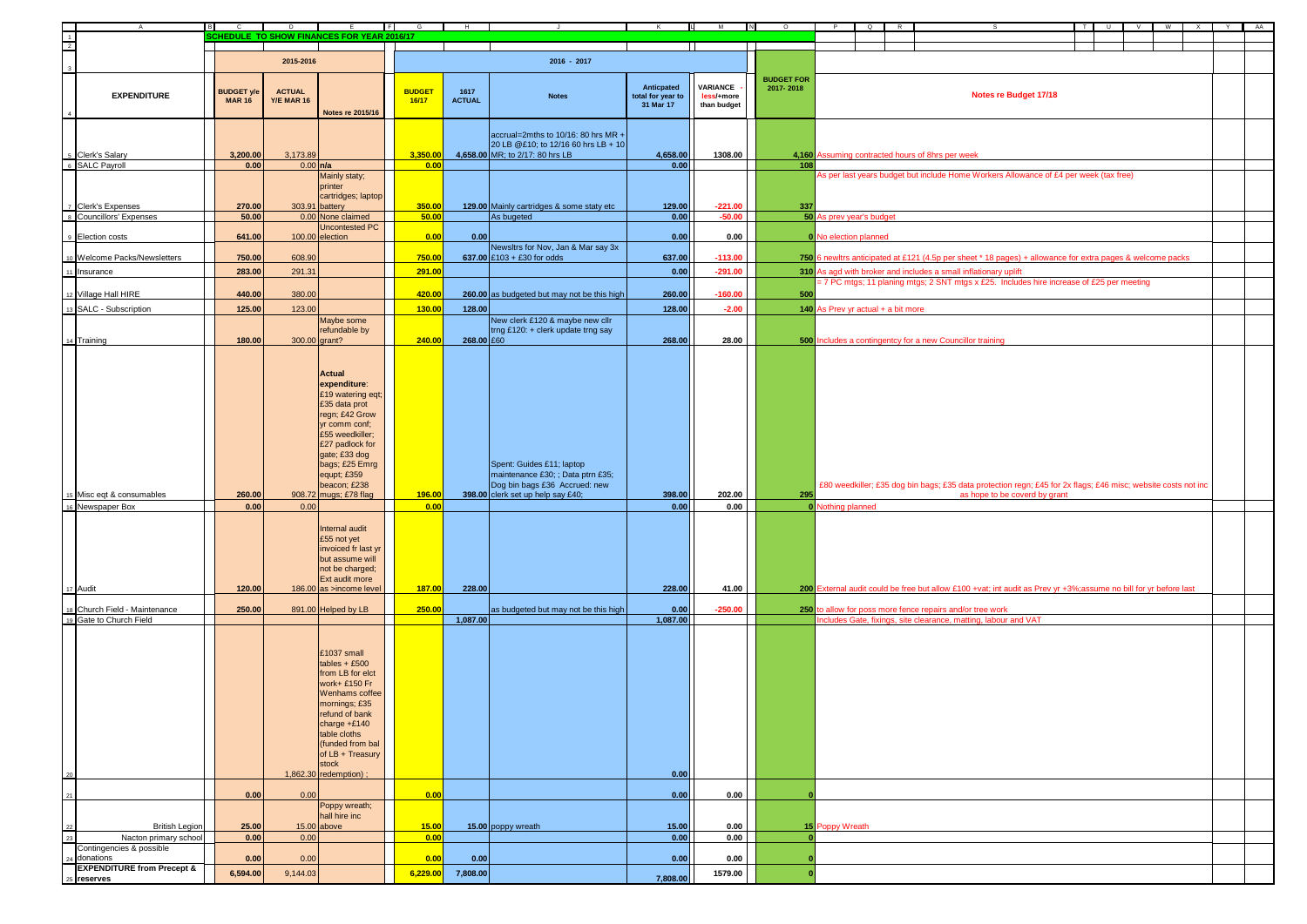| $\mathsf{A}$                          | <b>B</b><br>$\mathbf{c}$ | D                 | E<br>- 11                                 | F             | $G$ $H$ $H$   |                                             | K.                             | $\mathsf{L}$ M         | N<br>$\circ$      | <b>P</b>                           | $\Omega$ | - R |                                                                                                                              | — т I | $\cup$ | V. | <b>W</b><br>$\mathbf{x}$ | Y | AA |
|---------------------------------------|--------------------------|-------------------|-------------------------------------------|---------------|---------------|---------------------------------------------|--------------------------------|------------------------|-------------------|------------------------------------|----------|-----|------------------------------------------------------------------------------------------------------------------------------|-------|--------|----|--------------------------|---|----|
| $\frac{1}{2}$                         |                          |                   | CHEDULE TO SHOW FINANCES FOR YEAR 2016/17 |               |               |                                             |                                |                        |                   |                                    |          |     |                                                                                                                              |       |        |    |                          |   |    |
|                                       |                          |                   |                                           |               |               |                                             |                                |                        |                   |                                    |          |     |                                                                                                                              |       |        |    |                          |   |    |
|                                       |                          | 2015-2016         |                                           |               |               | $2016 - 2017$                               |                                |                        |                   |                                    |          |     |                                                                                                                              |       |        |    |                          |   |    |
|                                       |                          |                   |                                           |               |               |                                             |                                |                        |                   |                                    |          |     |                                                                                                                              |       |        |    |                          |   |    |
|                                       |                          |                   |                                           |               |               |                                             |                                |                        | <b>BUDGET FOR</b> |                                    |          |     |                                                                                                                              |       |        |    |                          |   |    |
| <b>EXPENDITURE</b>                    | <b>BUDGET y/e</b>        | <b>ACTUAL</b>     |                                           | <b>BUDGET</b> | 1617          |                                             | Anticpated                     | VARIANCE<br>less/+more | 2017-2018         |                                    |          |     | Notes re Budget 17/18                                                                                                        |       |        |    |                          |   |    |
|                                       | <b>MAR 16</b>            | <b>Y/E MAR 16</b> |                                           | 16/17         | <b>ACTUAL</b> | <b>Notes</b>                                | total for year to<br>31 Mar 17 | than budget            |                   |                                    |          |     |                                                                                                                              |       |        |    |                          |   |    |
|                                       |                          |                   | <b>Notes re 2015/16</b>                   |               |               |                                             |                                |                        |                   |                                    |          |     |                                                                                                                              |       |        |    |                          |   |    |
|                                       |                          |                   |                                           |               |               |                                             |                                |                        |                   |                                    |          |     |                                                                                                                              |       |        |    |                          |   |    |
|                                       |                          |                   |                                           |               |               | $ accrual=2m$ ths to 10/16: 80 hrs MR +     |                                |                        |                   |                                    |          |     |                                                                                                                              |       |        |    |                          |   |    |
|                                       |                          |                   |                                           |               |               | 20 LB @£10; to 12/16 60 hrs LB + 10         |                                |                        |                   |                                    |          |     |                                                                                                                              |       |        |    |                          |   |    |
| <sup>5</sup> Clerk's Salary           | 3,200.00                 | 3,173.89          |                                           | 3,350.00      |               | 4,658.00 MR; to 2/17: 80 hrs LB             | 4,658.00                       | 1308.00                |                   |                                    |          |     | 4,160 Assuming contracted hours of 8hrs per week                                                                             |       |        |    |                          |   |    |
| 6 SALC Payroll                        | 0.00                     |                   | $0.00$ $n/a$                              | 0.00          |               |                                             | 0.00                           |                        | 108               |                                    |          |     |                                                                                                                              |       |        |    |                          |   |    |
|                                       |                          |                   | Mainly staty;                             |               |               |                                             |                                |                        |                   |                                    |          |     | As per last years budget but include Home Workers Allowance of £4 per week (tax free)                                        |       |        |    |                          |   |    |
|                                       |                          |                   | printer                                   |               |               |                                             |                                |                        |                   |                                    |          |     |                                                                                                                              |       |        |    |                          |   |    |
|                                       |                          |                   | cartridges; laptop                        |               |               |                                             |                                |                        |                   |                                    |          |     |                                                                                                                              |       |        |    |                          |   |    |
| Clerk's Expenses                      | 270.00                   |                   | 303.91 battery                            | 350.00        |               | 129.00 Mainly cartridges & some staty etc   | 129.00                         | $-221.00$              | 337               |                                    |          |     |                                                                                                                              |       |        |    |                          |   |    |
| Councillors' Expenses                 | 50.00                    |                   | 0.00 None claimed                         | 50.00         |               | As bugeted                                  | 0.00                           | $-50.00$               |                   | 50 As prev year's budget           |          |     |                                                                                                                              |       |        |    |                          |   |    |
|                                       |                          |                   | <b>Uncontested PC</b>                     |               |               |                                             |                                |                        |                   |                                    |          |     |                                                                                                                              |       |        |    |                          |   |    |
| 9 Election costs                      | 641.00                   |                   | 100.00 election                           | 0.00          | 0.00          |                                             | 0.00                           | 0.00                   |                   | 0 No election planned              |          |     |                                                                                                                              |       |        |    |                          |   |    |
|                                       |                          |                   |                                           |               |               | Newsltrs for Nov, Jan & Mar say 3x          |                                |                        |                   |                                    |          |     |                                                                                                                              |       |        |    |                          |   |    |
| o Welcome Packs/Newsletters           | 750.00                   | 608.90            |                                           | 750.00        |               | 637.00 £103 + £30 for odds                  | 637.00                         | $-113.00$              |                   |                                    |          |     | 750 6 newltrs anticipated at £121 (4.5p per sheet * 18 pages) + allowance for extra pages & welcome packs                    |       |        |    |                          |   |    |
| Insurance                             | 283.00                   | 291.31            |                                           | 291.00        |               |                                             | 0.00                           | $-291.00$              |                   |                                    |          |     | 310 As agd with broker and includes a small inflationary uplift                                                              |       |        |    |                          |   |    |
|                                       |                          |                   |                                           |               |               |                                             |                                |                        |                   |                                    |          |     | = 7 PC mtgs; 11 planing mtgs; 2 SNT mtgs x £25. Includes hire increase of £25 per meeting                                    |       |        |    |                          |   |    |
| 12 Village Hall HIRE                  | 440.00                   | 380.00            |                                           | 420.00        |               | 260.00 as budgeted but may not be this high | 260.00                         | $-160.00$              | 500               |                                    |          |     |                                                                                                                              |       |        |    |                          |   |    |
|                                       |                          |                   |                                           |               |               |                                             |                                |                        |                   |                                    |          |     |                                                                                                                              |       |        |    |                          |   |    |
| SALC - Subscription                   | 125.00                   | 123.00            |                                           | 130.00        | 128.00        |                                             | 128.00                         | $-2.00$                |                   | 140 As Prev yr actual + a bit more |          |     |                                                                                                                              |       |        |    |                          |   |    |
|                                       |                          |                   | Maybe some                                |               |               | New clerk £120 & maybe new cllr             |                                |                        |                   |                                    |          |     |                                                                                                                              |       |        |    |                          |   |    |
|                                       |                          |                   | refundable by                             |               |               | trng £120: + clerk update trng say          |                                |                        |                   |                                    |          |     |                                                                                                                              |       |        |    |                          |   |    |
| 4 Training                            | 180.00                   |                   | 300.00 grant?                             | 240.00        | $268.00$ £60  |                                             | 268.00                         | 28.00                  |                   |                                    |          |     | 500 Includes a contingentcy for a new Councillor training                                                                    |       |        |    |                          |   |    |
|                                       |                          |                   |                                           |               |               |                                             |                                |                        |                   |                                    |          |     |                                                                                                                              |       |        |    |                          |   |    |
|                                       |                          |                   |                                           |               |               |                                             |                                |                        |                   |                                    |          |     |                                                                                                                              |       |        |    |                          |   |    |
|                                       |                          |                   | <b>Actual</b>                             |               |               |                                             |                                |                        |                   |                                    |          |     |                                                                                                                              |       |        |    |                          |   |    |
|                                       |                          |                   | expenditure:                              |               |               |                                             |                                |                        |                   |                                    |          |     |                                                                                                                              |       |        |    |                          |   |    |
|                                       |                          |                   | £19 watering eqt;                         |               |               |                                             |                                |                        |                   |                                    |          |     |                                                                                                                              |       |        |    |                          |   |    |
|                                       |                          |                   | £35 data prot                             |               |               |                                             |                                |                        |                   |                                    |          |     |                                                                                                                              |       |        |    |                          |   |    |
|                                       |                          |                   | regn; £42 Grow                            |               |               |                                             |                                |                        |                   |                                    |          |     |                                                                                                                              |       |        |    |                          |   |    |
|                                       |                          |                   | yr comm conf;                             |               |               |                                             |                                |                        |                   |                                    |          |     |                                                                                                                              |       |        |    |                          |   |    |
|                                       |                          |                   | £55 weedkiller;                           |               |               |                                             |                                |                        |                   |                                    |          |     |                                                                                                                              |       |        |    |                          |   |    |
|                                       |                          |                   | £27 padlock for                           |               |               |                                             |                                |                        |                   |                                    |          |     |                                                                                                                              |       |        |    |                          |   |    |
|                                       |                          |                   | gate; £33 dog                             |               |               |                                             |                                |                        |                   |                                    |          |     |                                                                                                                              |       |        |    |                          |   |    |
|                                       |                          |                   | bags; £25 Emrg                            |               |               | Spent: Guides £11; laptop                   |                                |                        |                   |                                    |          |     |                                                                                                                              |       |        |    |                          |   |    |
|                                       |                          |                   | equpt; £359                               |               |               | maintenance £30; ; Data ptrn £35;           |                                |                        |                   |                                    |          |     |                                                                                                                              |       |        |    |                          |   |    |
|                                       |                          |                   | beacon; £238                              |               |               | Dog bin bags £36 Accrued: new               |                                |                        |                   |                                    |          |     | £80 weedkiller; £35 dog bin bags; £35 data protection regn; £45 for 2x flags; £46 misc; website costs not inc                |       |        |    |                          |   |    |
| Misc eqt & consumables                | 260.00                   |                   | 908.72 mugs; £78 flag                     | 196.00        |               | 398.00 clerk set up help say £40;           | 398.00                         | 202.00                 | 295               |                                    |          |     | as hope to be coverd by grant                                                                                                |       |        |    |                          |   |    |
| Newspaper Box                         | 0.00                     | 0.00              |                                           | 0.00          |               |                                             | 0.00                           | 0.00                   |                   | <b>0</b> Nothing planned           |          |     |                                                                                                                              |       |        |    |                          |   |    |
|                                       |                          |                   |                                           |               |               |                                             |                                |                        |                   |                                    |          |     |                                                                                                                              |       |        |    |                          |   |    |
|                                       |                          |                   | Internal audit                            |               |               |                                             |                                |                        |                   |                                    |          |     |                                                                                                                              |       |        |    |                          |   |    |
|                                       |                          |                   | £55 not yet                               |               |               |                                             |                                |                        |                   |                                    |          |     |                                                                                                                              |       |        |    |                          |   |    |
|                                       |                          |                   | invoiced fr last yr                       |               |               |                                             |                                |                        |                   |                                    |          |     |                                                                                                                              |       |        |    |                          |   |    |
|                                       |                          |                   | but assume will                           |               |               |                                             |                                |                        |                   |                                    |          |     |                                                                                                                              |       |        |    |                          |   |    |
|                                       |                          |                   | not be charged;                           |               |               |                                             |                                |                        |                   |                                    |          |     |                                                                                                                              |       |        |    |                          |   |    |
|                                       |                          |                   | Ext audit more                            |               |               |                                             |                                |                        |                   |                                    |          |     |                                                                                                                              |       |        |    |                          |   |    |
| Audit                                 | 120.00                   |                   | 186.00 as >income level                   | 187.00        | 228.00        |                                             | 228.00                         | 41.00                  |                   |                                    |          |     | 200 External audit could be free but allow £100 +vat; int audit as Prev yr +3%; assume no bill for yr before last            |       |        |    |                          |   |    |
| Church Field - Maintenance            | 250.00                   |                   |                                           | 250.00        |               |                                             |                                | $-250.00$              |                   |                                    |          |     |                                                                                                                              |       |        |    |                          |   |    |
| Gate to Church Field                  |                          |                   | 891.00 Helped by LB                       |               | 1,087.00      | as budgeted but may not be this high        | 0.00<br>1,087.00               |                        |                   |                                    |          |     | 250 to allow for poss more fence repairs and/or tree work<br>Includes Gate, fixings, site clearance, matting, labour and VAT |       |        |    |                          |   |    |
|                                       |                          |                   |                                           |               |               |                                             |                                |                        |                   |                                    |          |     |                                                                                                                              |       |        |    |                          |   |    |
|                                       |                          |                   |                                           |               |               |                                             |                                |                        |                   |                                    |          |     |                                                                                                                              |       |        |    |                          |   |    |
|                                       |                          |                   |                                           |               |               |                                             |                                |                        |                   |                                    |          |     |                                                                                                                              |       |        |    |                          |   |    |
|                                       |                          |                   | £1037 small                               |               |               |                                             |                                |                        |                   |                                    |          |     |                                                                                                                              |       |        |    |                          |   |    |
|                                       |                          |                   | $tables + £500$                           |               |               |                                             |                                |                        |                   |                                    |          |     |                                                                                                                              |       |        |    |                          |   |    |
|                                       |                          |                   | from LB for elct                          |               |               |                                             |                                |                        |                   |                                    |          |     |                                                                                                                              |       |        |    |                          |   |    |
|                                       |                          |                   | work+ £150 Fr                             |               |               |                                             |                                |                        |                   |                                    |          |     |                                                                                                                              |       |        |    |                          |   |    |
|                                       |                          |                   | Wenhams coffee                            |               |               |                                             |                                |                        |                   |                                    |          |     |                                                                                                                              |       |        |    |                          |   |    |
|                                       |                          |                   | mornings; £35                             |               |               |                                             |                                |                        |                   |                                    |          |     |                                                                                                                              |       |        |    |                          |   |    |
|                                       |                          |                   | refund of bank                            |               |               |                                             |                                |                        |                   |                                    |          |     |                                                                                                                              |       |        |    |                          |   |    |
|                                       |                          |                   | charge +£140<br>table cloths              |               |               |                                             |                                |                        |                   |                                    |          |     |                                                                                                                              |       |        |    |                          |   |    |
|                                       |                          |                   | (funded from bal                          |               |               |                                             |                                |                        |                   |                                    |          |     |                                                                                                                              |       |        |    |                          |   |    |
|                                       |                          |                   | of LB + Treasury                          |               |               |                                             |                                |                        |                   |                                    |          |     |                                                                                                                              |       |        |    |                          |   |    |
|                                       |                          |                   | stock                                     |               |               |                                             |                                |                        |                   |                                    |          |     |                                                                                                                              |       |        |    |                          |   |    |
|                                       |                          |                   | 1,862.30 redemption)                      |               |               |                                             | 0.00                           |                        |                   |                                    |          |     |                                                                                                                              |       |        |    |                          |   |    |
|                                       |                          |                   |                                           |               |               |                                             |                                |                        |                   |                                    |          |     |                                                                                                                              |       |        |    |                          |   |    |
|                                       | 0.00                     | 0.00              |                                           | 0.00          |               |                                             | 0.00                           | 0.00                   |                   |                                    |          |     |                                                                                                                              |       |        |    |                          |   |    |
|                                       |                          |                   | Poppy wreath;                             |               |               |                                             |                                |                        |                   |                                    |          |     |                                                                                                                              |       |        |    |                          |   |    |
|                                       |                          |                   | hall hire inc                             |               |               |                                             |                                |                        |                   |                                    |          |     |                                                                                                                              |       |        |    |                          |   |    |
| <b>British Legion</b>                 | 25.00                    |                   | $15.00$ above                             | 15.00         |               | 15.00 poppy wreath                          | 15.00                          | 0.00                   |                   | 15 Poppy Wreath                    |          |     |                                                                                                                              |       |        |    |                          |   |    |
| Nacton primary school                 | 0.00                     | 0.00              |                                           | 0.00          |               |                                             | 0.00                           | 0.00                   | $\mathbf{0}$      |                                    |          |     |                                                                                                                              |       |        |    |                          |   |    |
| Contingencies & possible              |                          |                   |                                           |               |               |                                             |                                |                        |                   |                                    |          |     |                                                                                                                              |       |        |    |                          |   |    |
| donations                             | 0.00                     | 0.00              |                                           | 0.00          | 0.00          |                                             | 0.00                           | 0.00                   | $\mathbf{0}$      |                                    |          |     |                                                                                                                              |       |        |    |                          |   |    |
| <b>EXPENDITURE from Precept &amp;</b> |                          |                   |                                           |               |               |                                             |                                |                        |                   |                                    |          |     |                                                                                                                              |       |        |    |                          |   |    |
| s reserves                            | 6,594.00                 | 9,144.03          |                                           | 6,229.00      | 7,808.00      |                                             | 7,808.00                       | 1579.00                | $\overline{0}$    |                                    |          |     |                                                                                                                              |       |        |    |                          |   |    |